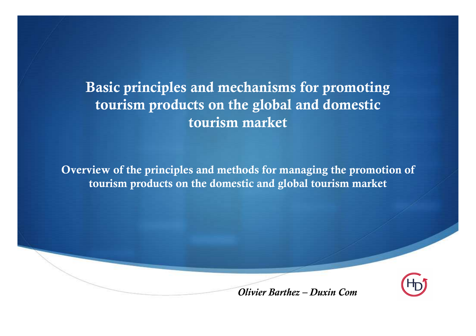Basic principles and mechanisms for promoting tourism products on the global and domestic tourism market

Overview of the principles and methods for managing the promotion of tourism products on the domestic and global tourism market



Olivier Barthez – Duxin Com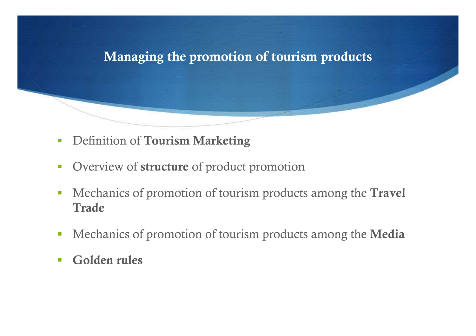### Managing the promotion of tourism products

- -Definition of Tourism Marketing
- -Overview of **structure** of product promotion
- - Mechanics of promotion of tourism products among the Travel Trade
- -Mechanics of promotion of tourism products among the Media
- $\overline{\phantom{a}}$ Golden rules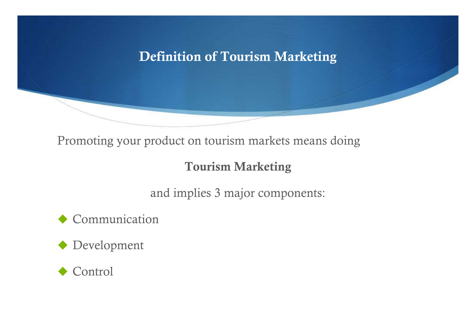## Definition of Tourism Marketing

Promoting your product on tourism markets means doing

### Tourism Marketing

and implies 3 major components:

Communication

Development

◆ Control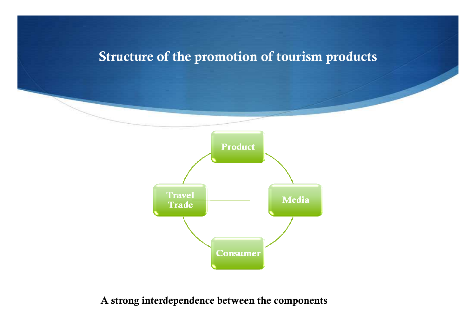## Structure of the promotion of tourism products



A strong interdependence between the components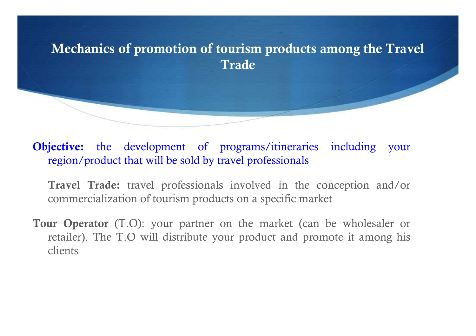

Objective: the development of programs/itineraries including your region/product that will be sold by travel professionals

Travel Trade: travel professionals involved in the conception and/or commercialization of tourism products on a specific market

Tour Operator (T.O): your partner on the market (can be wholesaler or retailer). The T.O will distribute your product and promote it among his clients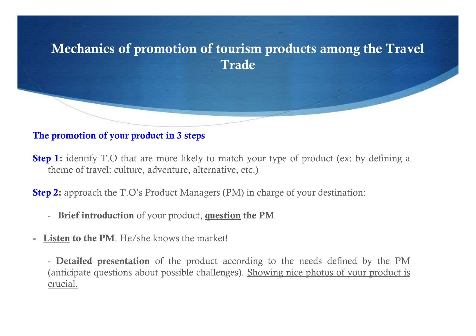

#### The promotion of your product in 3 steps

**Step 1:** identify T.O that are more likely to match your type of product (ex: by defining a theme of travel: culture, adventure, alternative, etc.)

Step 2: approach the T.O's Product Managers (PM) in charge of your destination:

- Brief introduction of your product, question the PM
- Listen to the PM. He/she knows the market!

- **Detailed presentation** of the product according to the needs defined by the PM (anticipate questions about possible challenges). Showing nice photos of your product is crucial.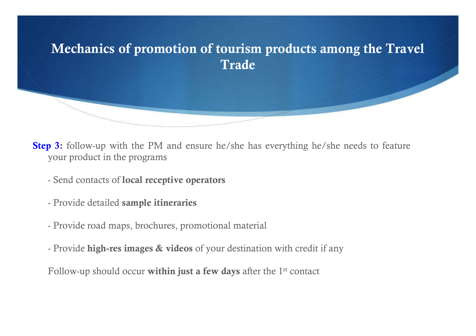

**Step 3:** follow-up with the PM and ensure he/she has everything he/she needs to feature your product in the programs

- Send contacts of l<mark>ocal receptive operators</mark>
- Provide detailed sample itineraries
- Provide road maps, brochures, promotional material
- Provide **high-res images & videos** of your destination with credit if any

Follow-up should occur within just a few days after the  $1<sup>st</sup>$  contact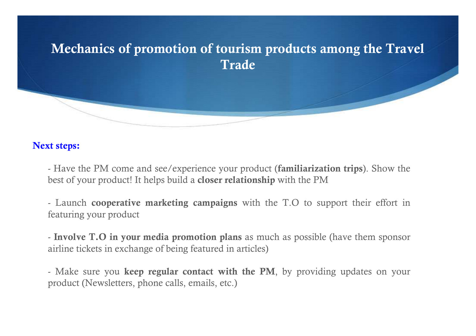

#### Next steps:

- Have the PM come and see/experience your product (**familiarization trips**). Show the best of your product! It helps build a closer relationship with the PM

- Launch **cooperative marketing campaigns** with the T.O to support their effort in featuring your product

- Involve T.O in your media promotion plans as much as possible (have them sponsor airline tickets in exchange of being featured in articles)

- Make sure you keep regular contact with the PM, by providing updates on your product (Newsletters, phone calls, emails, etc.)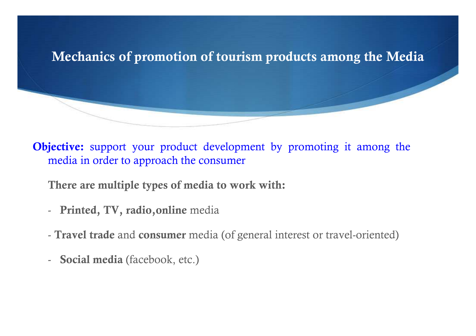

**Objective:** support your product development by promoting it among the media in order to approach the consumer

There are multiple types of media to work with:

- -- Printed, TV, radio, online media
- **Travel trade** and **consumer** media (of general interest or travel-oriented)
- -- **Social media** (facebook, etc.)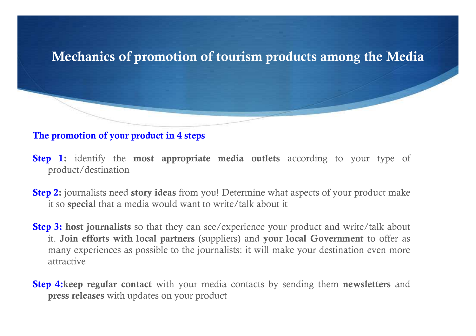## Mechanics of promotion of tourism products among the Media

#### The promotion of your product in 4 steps

- **Step 1:** identify the **most appropriate media outlets** according to your type of product/destination
- **Step 2:** journalists need story ideas from you! Determine what aspects of your product make it so special that a media would want to write/talk about it
- **Step 3: host journalists** so that they can see/experience your product and write/talk about it. Join efforts with local partners (suppliers) and your local Government to offer as many experiences as possible to the journalists: it will make your destination even more attractive

**Step 4:keep regular contact** with your media contacts by sending them **newsletters** and press releases with updates on your product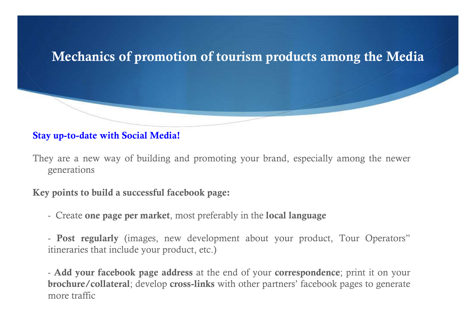# Mechanics of promotion of tourism products among the Media

#### Stay up-to-date with Social Media!

They are a new way of building and promoting your brand, especially among the newer generations

Key points to build a successful facebook page:

- Create **one page per market**, most preferably in the **local language** 

- Post regularly (images, new development about your product, Tour Operators"itineraries that include your product, etc.)

- Add your facebook page address at the end of your correspondence; print it on your brochure/collateral; develop cross-links with other partners' facebook pages to generate more traffic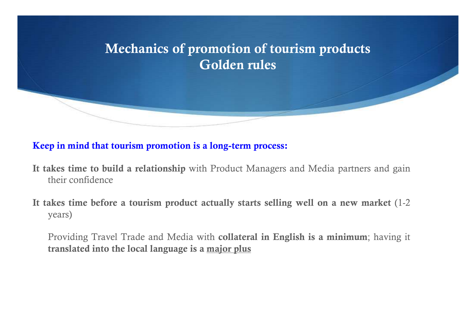

#### Keep in mind that tourism promotion is a long-term process:

- It takes time to build a relationship with Product Managers and Media partners and gain their confidence
- It takes time before a tourism product actually starts selling well on a new market (1-2 years)

Providing Travel Trade and Media with collateral in English is a minimum; having it translated into the local language is a major plus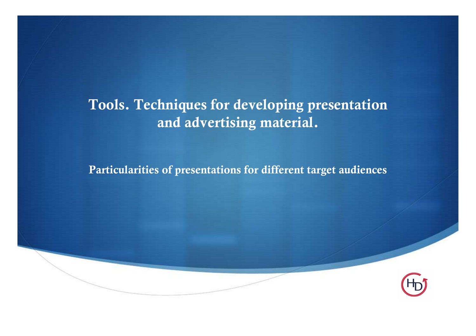## Tools. Techniques for developing presentation and advertising material.

Particularities of presentations for different target audiences

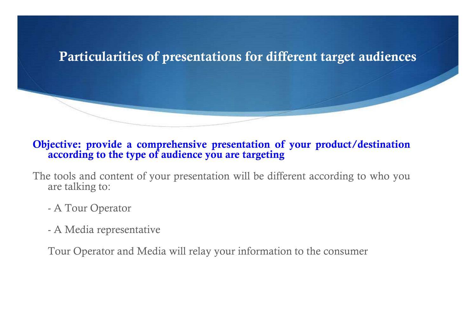

#### Objective: provide a comprehensive presentation of your product/destination according to the type of audience you are targeting

The tools and content of your presentation will be different according to who you are talking to:

- -A Tour Operator
- -A Media representative

Tour Operator and Media will relay your information to the consumer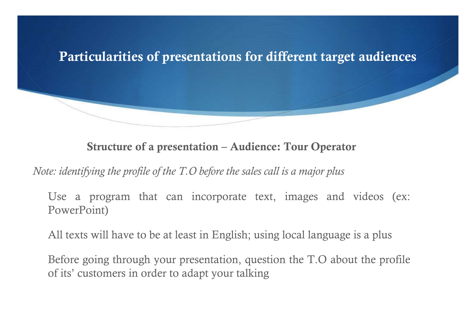

Structure of a presentation – Audience: Tour Operato r

Note: identifying the profile of the T.O before the sales call is a major plus

Use a program that can incorporate text, images and videos (ex: PowerPoint)

All texts will have to be at least in English; using local language is a plus

Before going through your presentation, question the T.O about the profile of its' customers in order to adapt your talking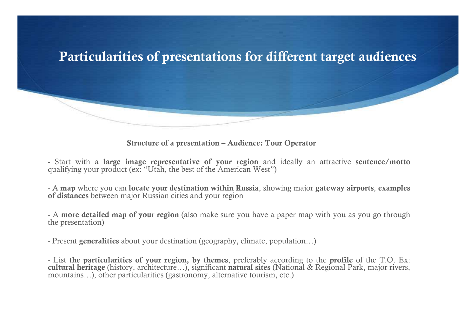

Structure of a presentation – Audience: Tour Operato r

- Start with a **large image representative of your region** and ideally an attractive **sentence/motto**<br>qualifying your product (ex: "Utah the best of the American West") qualifying your product (ex: "Utah, the best of the American West")

- A map where you can locate your destination within Russia, showing major gateway airports, examples<br>of distances between major Russian cities and your region of distances between major Russian cities and your region

- A **more detailed map of your region** (also make sure you have a paper map with you as you go through the presentation) the presentation)

- Present **generalities** about your destination (geography, climate, population...)

- List the particularities of your region, by themes, preferably according to the profile of the T.O. Ex:<br>cultural heritage (history, architecture, ), significant natural sites (National & Regional Park, major rivers cultural heritage (history, architecture…), significant natural sites (National & Regional Park, major rivers, mountains…), other particularities (gastronomy, alternative tourism, etc.)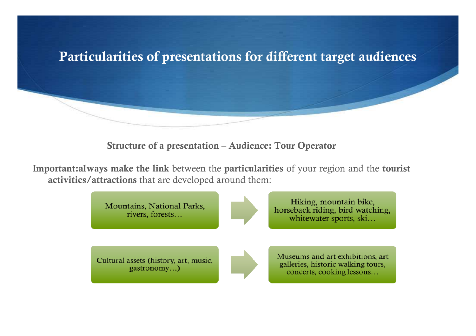

Structure of a presentation – Audience: Tour Operator

Important:always make the link between the particularities of your region and the tourist activities/attractions that are developed around them:

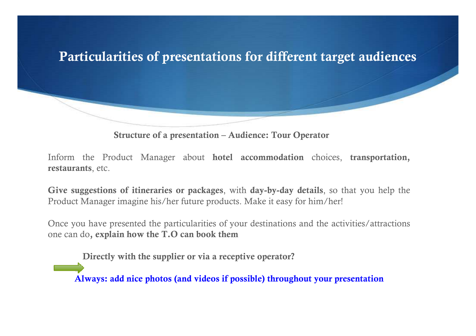

Structure of a presentation – Audience: Tour Operato r

Inform the Product Manager about hotel accommodation choices, transportation, restaurants, etc.

Give suggestions of itineraries or packages, with day-by-day details, so that you help the Product Manager imagine his/her future products. Make it easy for him/her!

Once you have presented the particularities of your destinations and the activities/attractions one can do, explain how the T.O can book them

Directly with the supplier or via a receptive operator?

Always: add nice photos (and videos if possible) throughout your presentation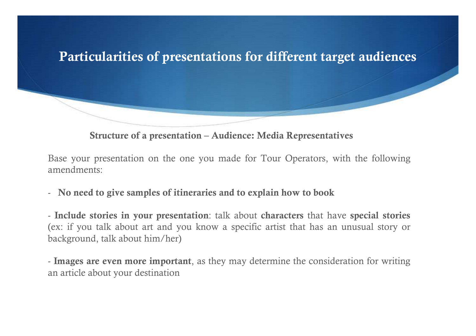

Structure of a presentation – Audience: Media Representatives

Base your presentation on the one you made for Tour Operators, with the following amendments:

- No need to give samples of itineraries and to explain how to book

- Include stories in your presentation: talk about characters that have special stories (ex: if you talk about art and you know a specific artist that has an unusual story or background, talk about him/her)

- Images are even more important, as they may determine the consideration for writing an article about your destination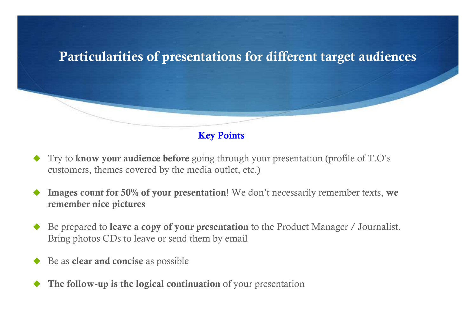

Key Points

- ♦ Try to know your audience before going through your presentation (profile of T.O's customers, themes covered by the media outlet, etc.)
- ♦ Images count for 50% of your presentation! We don't necessarily remember texts, we remember nice pictures
- ♦ Be prepared to **leave a copy of your presentation** to the Product Manager / Journalist. Bring photos CDs to leave or send them by email
- ♦ Be as **clear and concise** as possible
- ♦ The follow-up is the logical continuation of your presentation